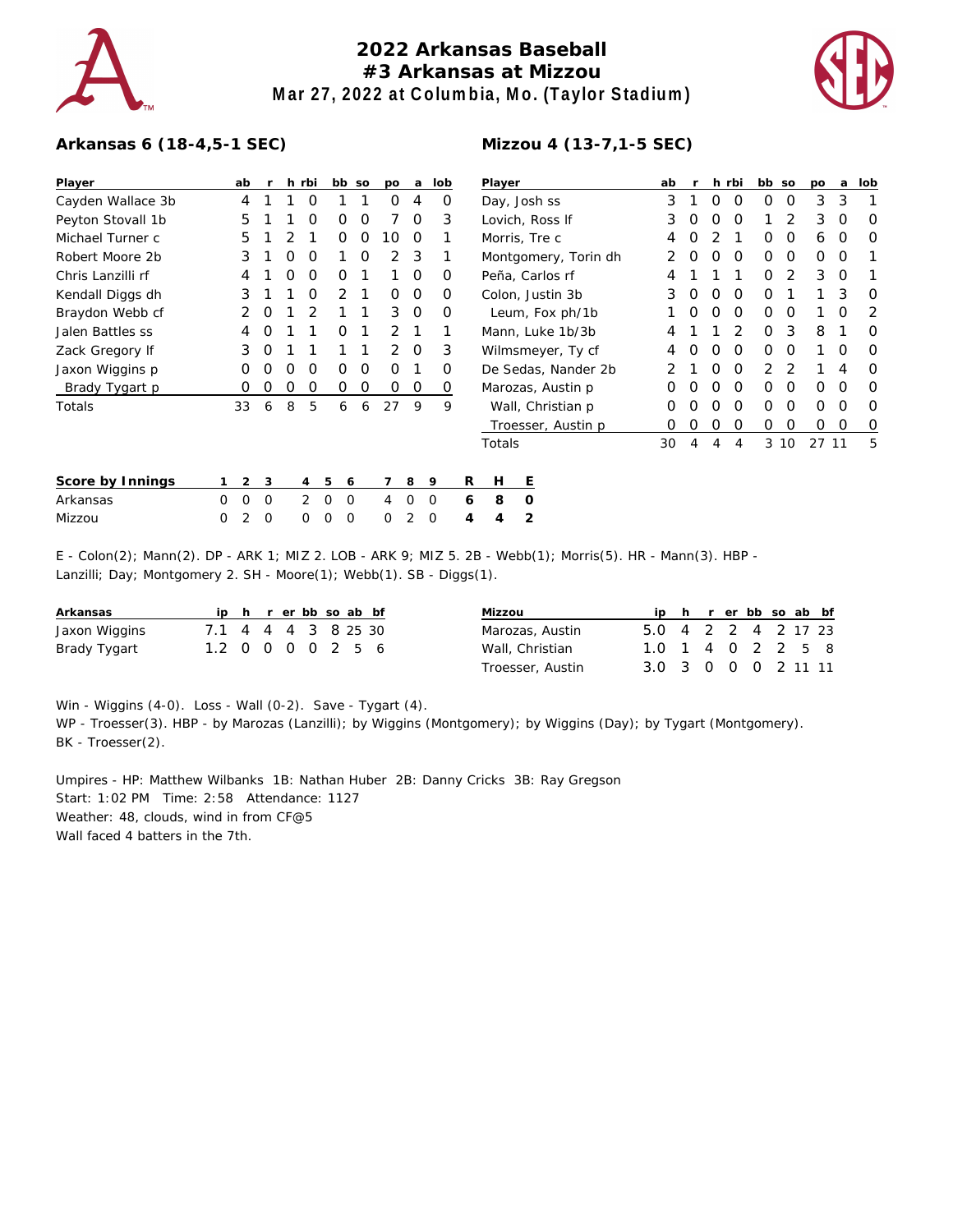

## **2022 Arkansas Baseball #3 Arkansas at Mizzou Mar 27, 2022 at Columbia, Mo. (Taylor Stadium)**



## **Arkansas 6 (18-4,5-1 SEC)**

| Player            | ab     |                     |   | h rbi |                | bb so          | po | a        | lob     |   | Player              |                      |   | ab |   |   | h rbi    | bb so    |          | po       | a        | lob |
|-------------------|--------|---------------------|---|-------|----------------|----------------|----|----------|---------|---|---------------------|----------------------|---|----|---|---|----------|----------|----------|----------|----------|-----|
| Cayden Wallace 3b | 4      |                     |   | O     |                |                | 0  | 4        | O       |   | Day, Josh ss        |                      | 3 |    | 0 | O | $\Omega$ | $\Omega$ | 3        | 3        |          |     |
| Peyton Stovall 1b | 5      |                     |   | O     | 0              | O              |    | $\Omega$ | 3       |   | Lovich, Ross If     |                      | 3 | Ο  | Ο | O |          | 2        | 3        | $\Omega$ | O        |     |
| Michael Turner c  | 5      |                     | 2 |       | 0              | 0              | 10 | $\Omega$ |         |   | Morris, Tre c       |                      | 4 | Ο  | 2 |   | $\Omega$ | $\Omega$ | 6        | $\Omega$ | O        |     |
| Robert Moore 2b   | 3      |                     | 0 | 0     |                | 0              | 2  | -3       |         |   |                     | Montgomery, Torin dh | 2 | O  | O | 0 | $\Omega$ | $\Omega$ | 0        | $\circ$  |          |     |
| Chris Lanzilli rf |        |                     | 0 | 0     | 0              |                |    | 0        | 0       |   | Peña, Carlos rf     |                      | 4 |    |   |   | O        | 2        | 3        | 0        |          |     |
| Kendall Diggs dh  | 3      |                     |   | 0     | $\overline{2}$ |                | 0  | $\circ$  | 0       |   | Colon, Justin 3b    |                      |   |    | O | O | 0        | O        |          |          | 3        | O   |
| Braydon Webb cf   | 2      | 0                   |   | 2     |                |                | 3  | 0        | 0       |   | Leum, Fox ph/1b     |                      |   |    | 0 | O | 0        | $\Omega$ | $\Omega$ |          | 0        | 2   |
| Jalen Battles ss  | 4      | O                   |   |       | 0              |                | 2  |          |         |   | Mann, Luke 1b/3b    |                      |   |    |   |   | 2        | $\Omega$ | 3        | 8        |          | O   |
| Zack Gregory If   | 3      | O                   |   |       |                |                | 2  | $\Omega$ | 3       |   | Wilmsmeyer, Ty cf   |                      |   |    |   | Ο | O        | $\Omega$ | $\Omega$ |          | O        |     |
| Jaxon Wiggins p   | Ο      | Ο                   | Ο | O     | Ο              | O              | 0  |          | O       |   | De Sedas, Nander 2b |                      |   |    |   | Ο | O        | 2.       |          |          |          | O   |
| Brady Tygart p    | Ο      | 0                   | O | 0     | 0              | 0              | 0  | 0        | 0       |   | Marozas, Austin p   |                      |   |    | Ο | Ο | 0        | $\Omega$ | $\Omega$ | 0        | $\Omega$ | O   |
| Totals            | 33     | 6                   | 8 | 5     | 6              | 6              | 27 | 9        | 9       |   |                     | Wall, Christian p    |   | 0  | Ο | Ο | 0        | $\Omega$ | $\Omega$ | 0        | $\Omega$ | O   |
|                   |        |                     |   |       |                |                |    |          |         |   |                     | Troesser, Austin p   |   | 0  | O | O | 0        | $\Omega$ | 0        | 0        | 0        | O   |
|                   |        |                     |   |       |                |                |    |          |         |   | Totals              |                      |   | 30 | 4 | 4 | 4        |          | 3 10     | 27 11    |          | 5   |
| Score by Innings  |        | $\overline{2}$<br>3 |   | 4     | 5              | 6              |    | 8        | 9       | R | Н                   | Е                    |   |    |   |   |          |          |          |          |          |     |
| Arkansas          | 0<br>0 | 0                   |   | 2     | 0              | $\overline{0}$ | 4  | O        | 0       | 6 | 8                   | $\circ$              |   |    |   |   |          |          |          |          |          |     |
| Mizzou            | 2<br>0 | 0                   |   | 0     | O              | 0              | 0  | 2        | $\circ$ | 4 | 4                   | 2                    |   |    |   |   |          |          |          |          |          |     |
|                   |        |                     |   |       |                |                |    |          |         |   |                     |                      |   |    |   |   |          |          |          |          |          |     |

E - Colon(2); Mann(2). DP - ARK 1; MIZ 2. LOB - ARK 9; MIZ 5. 2B - Webb(1); Morris(5). HR - Mann(3). HBP - Lanzilli; Day; Montgomery 2. SH - Moore(1); Webb(1). SB - Diggs(1).

| Arkansas      |                     |  | ip h r er bb so ab bf |  |  |
|---------------|---------------------|--|-----------------------|--|--|
| Jaxon Wiggins | 7.1 4 4 4 3 8 25 30 |  |                       |  |  |
| Brady Tygart  | 1.2 0 0 0 0 2 5 6   |  |                       |  |  |

| Mizzou           |                     |  | ip h r er bb so ab bf |  |  |
|------------------|---------------------|--|-----------------------|--|--|
| Marozas, Austin  | 5.0 4 2 2 4 2 17 23 |  |                       |  |  |
| Wall, Christian  | 1.0 1 4 0 2 2 5 8   |  |                       |  |  |
| Troesser, Austin | 3.0 3 0 0 0 2 11 11 |  |                       |  |  |

Win - Wiggins (4-0). Loss - Wall (0-2). Save - Tygart (4).

WP - Troesser(3). HBP - by Marozas (Lanzilli); by Wiggins (Montgomery); by Wiggins (Day); by Tygart (Montgomery). BK - Troesser(2).

Umpires - HP: Matthew Wilbanks 1B: Nathan Huber 2B: Danny Cricks 3B: Ray Gregson Start: 1:02 PM Time: 2:58 Attendance: 1127 Weather: 48, clouds, wind in from CF@5 Wall faced 4 batters in the 7th.

## **Mizzou 4 (13-7,1-5 SEC)**